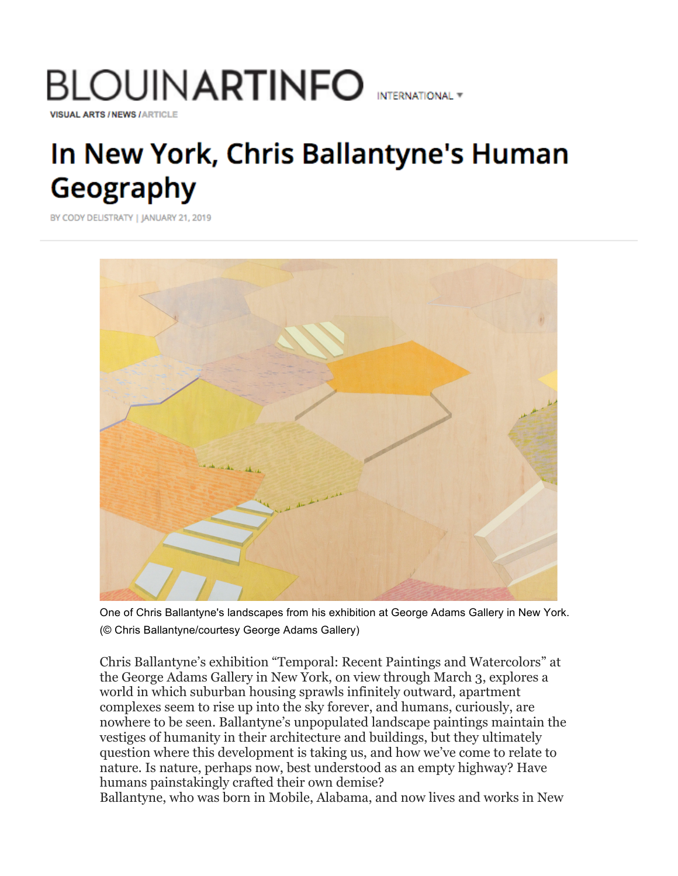# BLOUIN**ARTINFO** international <del>v</del> **VISUAL ARTS / NEWS / ARTICLE**

# In New York, Chris Ballantyne's Human Geography

BY CODY DELISTRATY | JANUARY 21, 2019



One of Chris Ballantyne's landscapes from his exhibition at George Adams Gallery in New York. (© Chris Ballantyne/courtesy George Adams Gallery)

Chris Ballantyne's exhibition "Temporal: Recent Paintings and Watercolors" at the George Adams Gallery in New York, on view through March 3, explores a world in which suburban housing sprawls infinitely outward, apartment complexes seem to rise up into the sky forever, and humans, curiously, are nowhere to be seen. Ballantyne's unpopulated landscape paintings maintain the vestiges of humanity in their architecture and buildings, but they ultimately question where this development is taking us, and how we've come to relate to nature. Is nature, perhaps now, best understood as an empty highway? Have humans painstakingly crafted their own demise?

Ballantyne, who was born in Mobile, Alabama, and now lives and works in New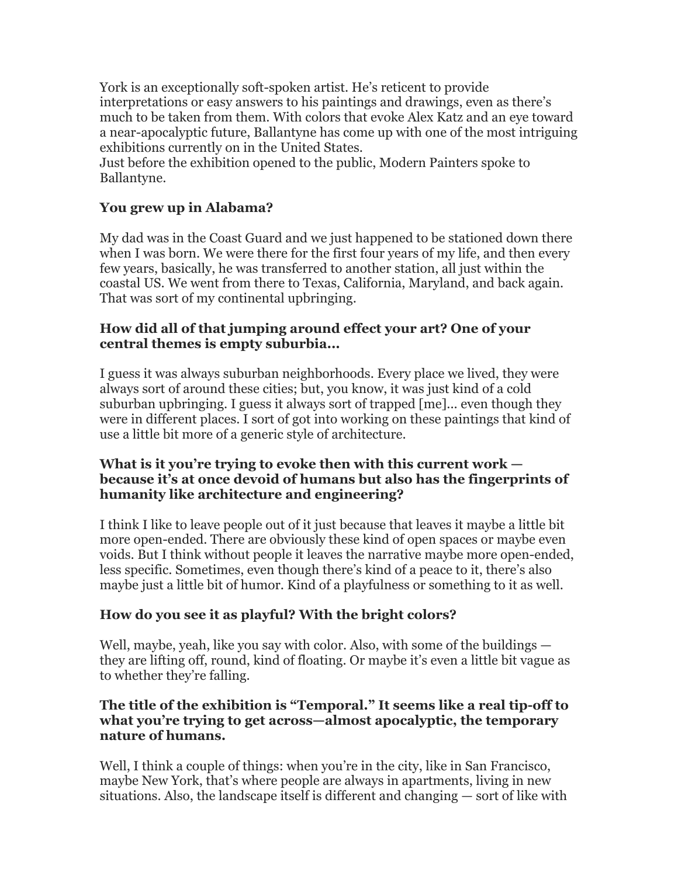York is an exceptionally soft-spoken artist. He's reticent to provide interpretations or easy answers to his paintings and drawings, even as there's much to be taken from them. With colors that evoke Alex Katz and an eye toward a near-apocalyptic future, Ballantyne has come up with one of the most intriguing exhibitions currently on in the United States.

Just before the exhibition opened to the public, Modern Painters spoke to Ballantyne.

# **You grew up in Alabama?**

My dad was in the Coast Guard and we just happened to be stationed down there when I was born. We were there for the first four years of my life, and then every few years, basically, he was transferred to another station, all just within the coastal US. We went from there to Texas, California, Maryland, and back again. That was sort of my continental upbringing.

## **How did all of that jumping around effect your art? One of your central themes is empty suburbia...**

I guess it was always suburban neighborhoods. Every place we lived, they were always sort of around these cities; but, you know, it was just kind of a cold suburban upbringing. I guess it always sort of trapped [me]... even though they were in different places. I sort of got into working on these paintings that kind of use a little bit more of a generic style of architecture.

### **What is it you're trying to evoke then with this current work because it's at once devoid of humans but also has the fingerprints of humanity like architecture and engineering?**

I think I like to leave people out of it just because that leaves it maybe a little bit more open-ended. There are obviously these kind of open spaces or maybe even voids. But I think without people it leaves the narrative maybe more open-ended, less specific. Sometimes, even though there's kind of a peace to it, there's also maybe just a little bit of humor. Kind of a playfulness or something to it as well.

# **How do you see it as playful? With the bright colors?**

Well, maybe, yeah, like you say with color. Also, with some of the buildings they are lifting off, round, kind of floating. Or maybe it's even a little bit vague as to whether they're falling.

### **The title of the exhibition is "Temporal." It seems like a real tip-off to what you're trying to get across—almost apocalyptic, the temporary nature of humans.**

Well, I think a couple of things: when you're in the city, like in San Francisco, maybe New York, that's where people are always in apartments, living in new situations. Also, the landscape itself is different and changing — sort of like with